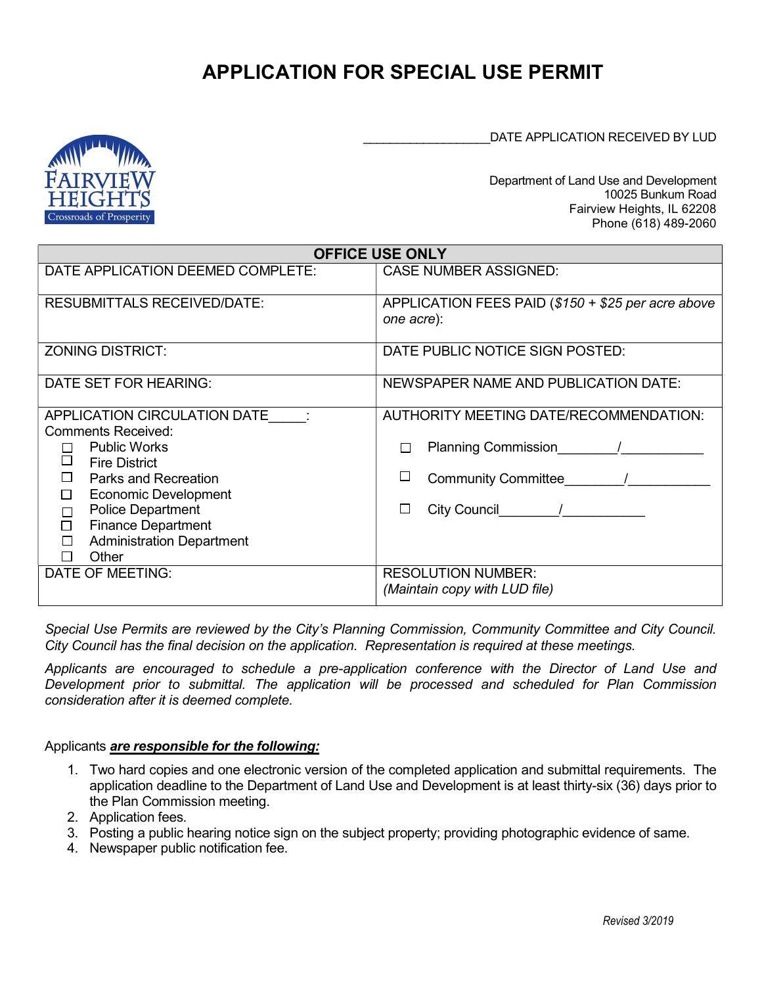# APPLICATION FOR SPECIAL USE PERMIT

DATE APPLICATION RECEIVED BY LUD



Department of Land Use and Development 10025 Bunkum Road Fairview Heights, IL 62208 Phone (618) 489-2060

| <b>OFFICE USE ONLY</b>                                                                                                                                                                                                                                                                                               |                                                                                                                                        |  |  |  |
|----------------------------------------------------------------------------------------------------------------------------------------------------------------------------------------------------------------------------------------------------------------------------------------------------------------------|----------------------------------------------------------------------------------------------------------------------------------------|--|--|--|
| DATE APPLICATION DEEMED COMPLETE:                                                                                                                                                                                                                                                                                    | <b>CASE NUMBER ASSIGNED:</b>                                                                                                           |  |  |  |
| <b>RESUBMITTALS RECEIVED/DATE:</b>                                                                                                                                                                                                                                                                                   | APPLICATION FEES PAID (\$150 + \$25 per acre above<br>one acre):                                                                       |  |  |  |
| <b>ZONING DISTRICT:</b>                                                                                                                                                                                                                                                                                              | DATE PUBLIC NOTICE SIGN POSTED:                                                                                                        |  |  |  |
| DATE SET FOR HEARING:                                                                                                                                                                                                                                                                                                | NEWSPAPER NAME AND PUBLICATION DATE:                                                                                                   |  |  |  |
| APPLICATION CIRCULATION DATE<br><b>Comments Received:</b><br><b>Public Works</b><br>$\Box$<br><b>Fire District</b><br>П<br><b>Parks and Recreation</b><br><b>Economic Development</b><br>□<br><b>Police Department</b><br>□<br>$\Box$<br><b>Finance Department</b><br><b>Administration Department</b><br>□<br>Other | AUTHORITY MEETING DATE/RECOMMENDATION:<br><b>Planning Commission</b><br>П<br><b>Community Committee</b><br>City Council City<br>$\Box$ |  |  |  |
| DATE OF MEETING:                                                                                                                                                                                                                                                                                                     | <b>RESOLUTION NUMBER:</b><br>(Maintain copy with LUD file)                                                                             |  |  |  |

Special Use Permits are reviewed by the City's Planning Commission, Community Committee and City Council. City Council has the final decision on the application. Representation is required at these meetings.

Applicants are encouraged to schedule a pre-application conference with the Director of Land Use and Development prior to submittal. The application will be processed and scheduled for Plan Commission consideration after it is deemed complete.

#### Applicants are responsible for the following:

- 1. Two hard copies and one electronic version of the completed application and submittal requirements. The application deadline to the Department of Land Use and Development is at least thirty-six (36) days prior to the Plan Commission meeting.
- 2. Application fees.
- 3. Posting a public hearing notice sign on the subject property; providing photographic evidence of same.
- 4. Newspaper public notification fee.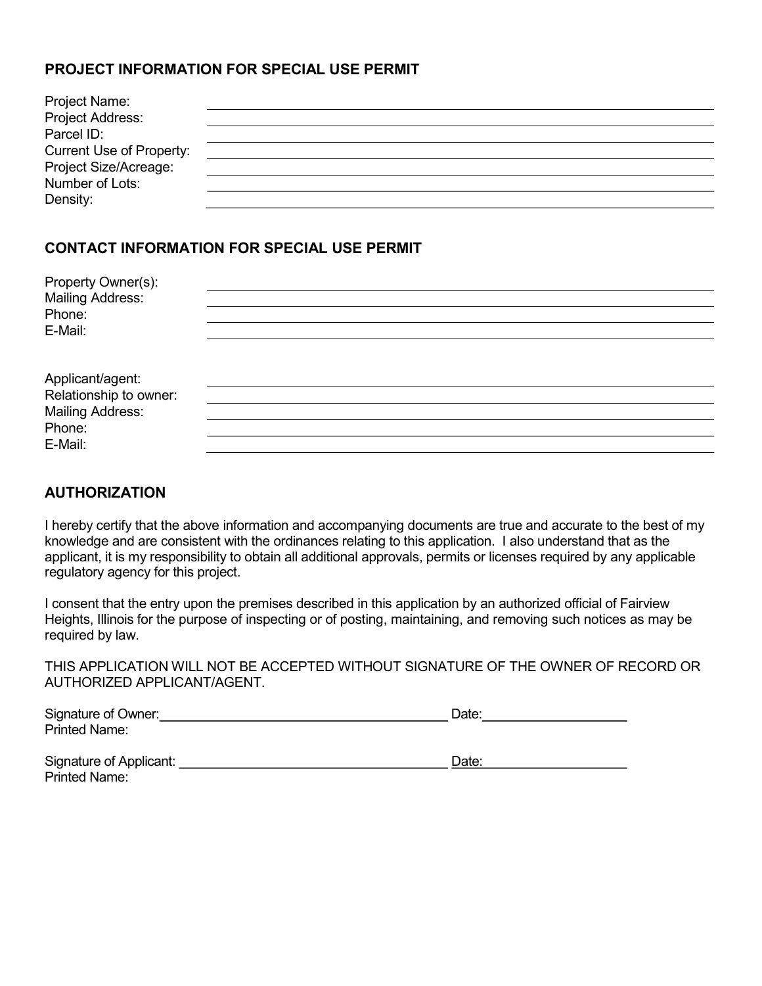## PROJECT INFORMATION FOR SPECIAL USE PERMIT

| Project Name:                   |  |
|---------------------------------|--|
| Project Address:                |  |
| Parcel ID:                      |  |
| <b>Current Use of Property:</b> |  |
| Project Size/Acreage:           |  |
| Number of Lots:                 |  |
| Density:                        |  |

## CONTACT INFORMATION FOR SPECIAL USE PERMIT

| Property Owner(s):<br><b>Mailing Address:</b> |  |  |  |
|-----------------------------------------------|--|--|--|
| Phone:                                        |  |  |  |
| E-Mail:                                       |  |  |  |
| Applicant/agent:                              |  |  |  |
| Relationship to owner:                        |  |  |  |
| <b>Mailing Address:</b>                       |  |  |  |
| Phone:                                        |  |  |  |
| E-Mail:                                       |  |  |  |

## AUTHORIZATION

I hereby certify that the above information and accompanying documents are true and accurate to the best of my knowledge and are consistent with the ordinances relating to this application. I also understand that as the applicant, it is my responsibility to obtain all additional approvals, permits or licenses required by any applicable regulatory agency for this project.

I consent that the entry upon the premises described in this application by an authorized official of Fairview Heights, Illinois for the purpose of inspecting or of posting, maintaining, and removing such notices as may be required by law.

THIS APPLICATION WILL NOT BE ACCEPTED WITHOUT SIGNATURE OF THE OWNER OF RECORD OR AUTHORIZED APPLICANT/AGENT.

| Signature of Owner:     | Date: |
|-------------------------|-------|
| <b>Printed Name:</b>    |       |
|                         |       |
| Signature of Applicant: | Date: |
| <b>Printed Name:</b>    |       |